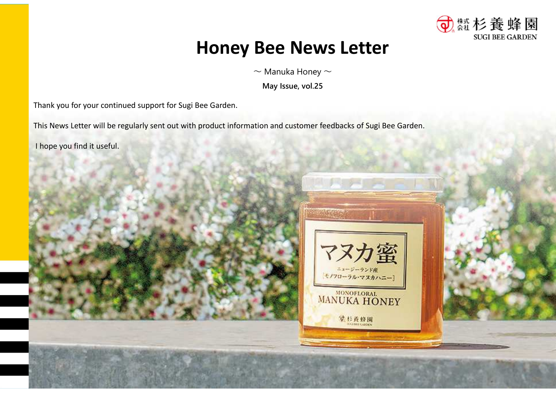

# **Honey Bee News Letter**

 $\sim$  Manuka Honey  $\sim$ 

**May Issue, vol.25**

Thank you for your continued support for Sugi Bee Garden.

This News Letter will be regularly sent out with product information and customer feedbacks of Sugi Bee Garden.

I hope you find it useful.





**动移致线圈**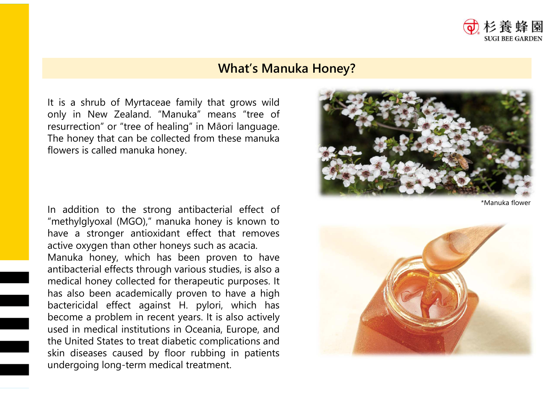

### **What's Manuka Honey?**

It is <sup>a</sup> shrub of Myrtaceae family that grows wild only in New Zealand. "Manuka" means "tree of resurrection" or "tree of healing" in Māori language. The honey that can be collected from these manuka flowers is called manuka honey.

 In addition to the strong antibacterial effect of "methylglyoxal (MGO)," manuka honey is known to have <sup>a</sup> stronger antioxidant effect that removes active oxygen than other honeys such as acacia.

Manuka honey, which has been proven to have antibacterial effects through various studies, is also <sup>a</sup> medical honey collected for therapeutic purposes. It has also been academically proven to have <sup>a</sup> high bactericidal effect against H. pylori, which has become <sup>a</sup> problem in recent years. It is also actively used in medical institutions in Oceania, Europe, and the United States to treat diabetic complications and skin diseases caused by floor rubbing in patients undergoing long-term medical treatment.



\*Manuka flower

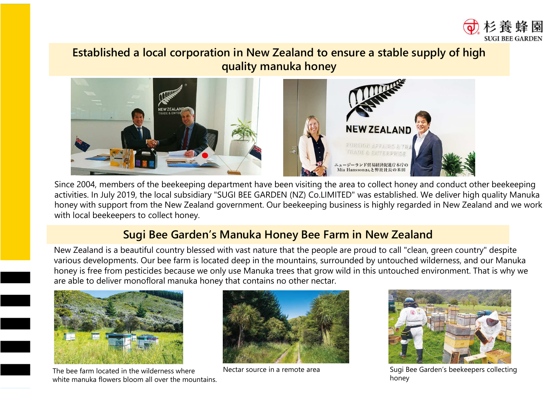

## **Established a local corporation in New Zealand to ensure a stable supply of high quality manuka honey**



Since 2004, members of the beekeeping department have been visiting the area to collect honey and conduct other beekeeping activities. In July 2019, the local subsidiary "SUGI BEE GARDEN (NZ) Co.LIMITED" was established. We deliver high quality Manuka honey with support from the New Zealand government. Our beekeeping business is highly regarded in New Zealand and we work with local beekeepers to collect honey.

## **Sugi Bee Garden's Manuka Honey Bee Farm in New Zealand**

New Zealand is a beautiful country blessed with vast nature that the people are proud to call "clean, green country" despite various developments. Our bee farm is located deep in the mountains, surrounded by untouched wilderness, and our Manuka honey is free from pesticides because we only use Manuka trees that grow wild in this untouched environment. That is why weare able to deliver monofloral manuka honey that contains no other nectar.



The bee farm located in the wilderness where white manuka flowers bloom all over the mountains.





Nectar source in a remote area Sugi Bee Garden's beekeepers collecting honey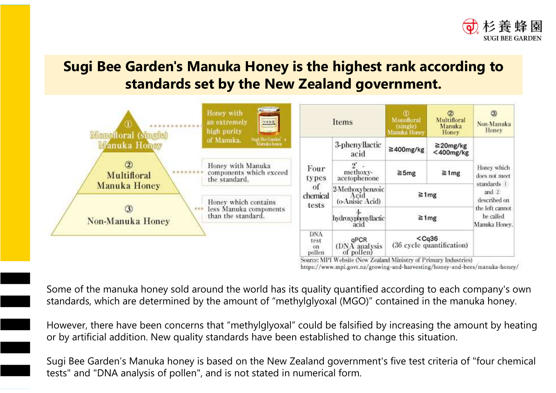

# **Sugi Bee Garden's Manuka Honey is the highest rank according to standards set by the New Zealand government.**



https://www.mpi.govt.nz/growing-and-harvesting/honey-and-bees/manuka-honey/

Some of the manuka honey sold around the world has its quality quantified according to each company's own standards, which are determined by the amount of "methylglyoxal (MGO)" contained in the manuka honey.

However, there have been concerns that "methylglyoxal" could be falsified by increasing the amount by heating or by artificial addition. New quality standards have been established to change this situation.

Sugi Bee Garden's Manuka honey is based on the New Zealand government's five test criteria of "four chemical tests" and "DNA analysis of pollen", and is not stated in numerical form.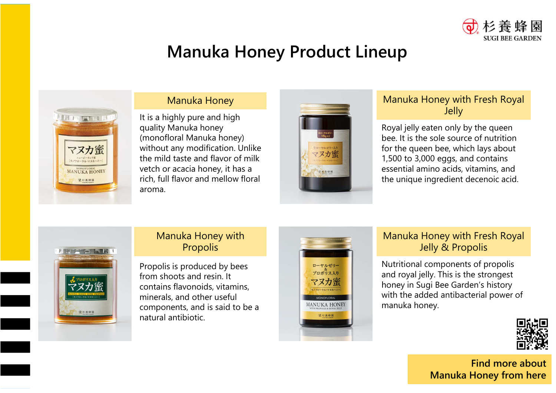

# **Manuka Honey Product Lineup**



#### Manuka Honey

It is a highly pure and high quality Manuka honey (monofloral Manuka honey) without any modification. Unlike the mild taste and flavor of milk vetch or acacia honey, it has a rich, full flavor and mellow floral aroma.



#### Manuka Honey with Fresh Royal Jelly

Royal jelly eaten only by the queen bee. It is the sole source of nutrition for the queen bee, which lays about 1,500 to 3,000 eggs, and contains essential amino acids, vitamins, and the unique ingredient decenoic acid.



#### Manuka Honey with Propolis

Propolis is produced by bees from shoots and resin. It contains flavonoids, vitamins, minerals, and other useful components, and is said to be a natural antibiotic.



#### Manuka Honey with Fresh Royal Jelly & Propolis

Nutritional components of propolis and royal jelly. This is the strongest honey in Sugi Bee Garden's history with the added antibacterial power of manuka honey.



**Find more about Manuka Honey from here**